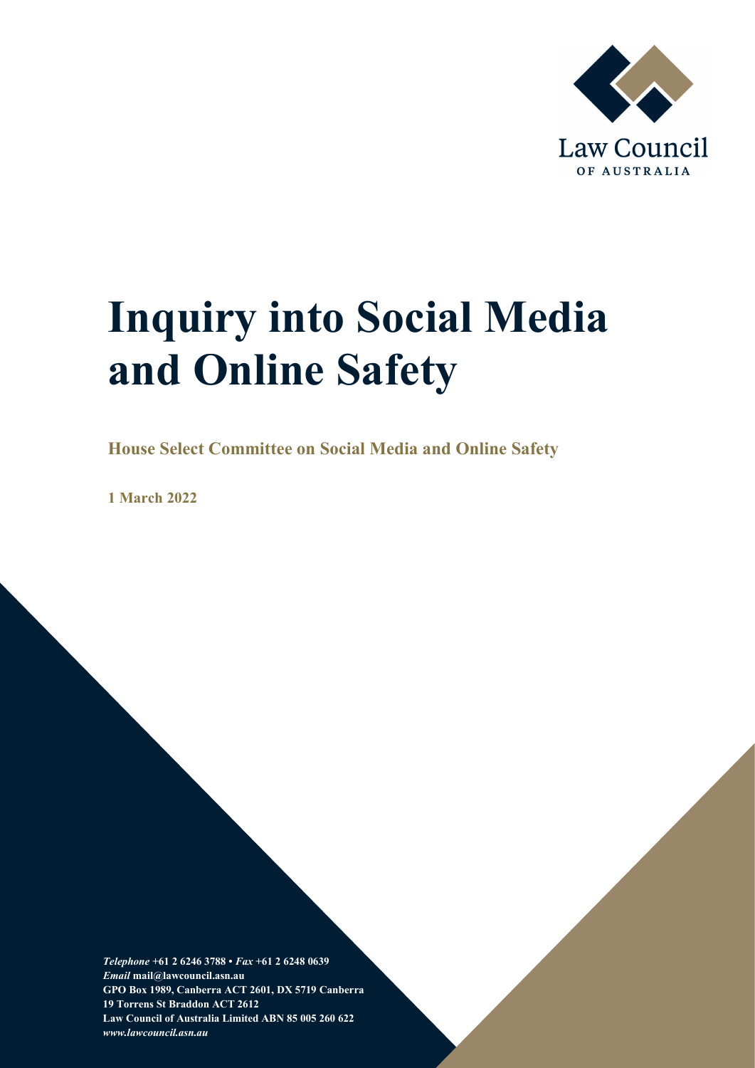

# **Inquiry into Social Media and Online Safety**

**House Select Committee on Social Media and Online Safety**

**1 March 2022**

*Telephone* **+61 2 6246 3788 •** *Fax* **+61 2 6248 0639** *Email* **mail@lawcouncil.asn.au GPO Box 1989, Canberra ACT 2601, DX 5719 Canberra 19 Torrens St Braddon ACT 2612 Law Council of Australia Limited ABN 85 005 260 622** *www.lawcouncil.asn.au*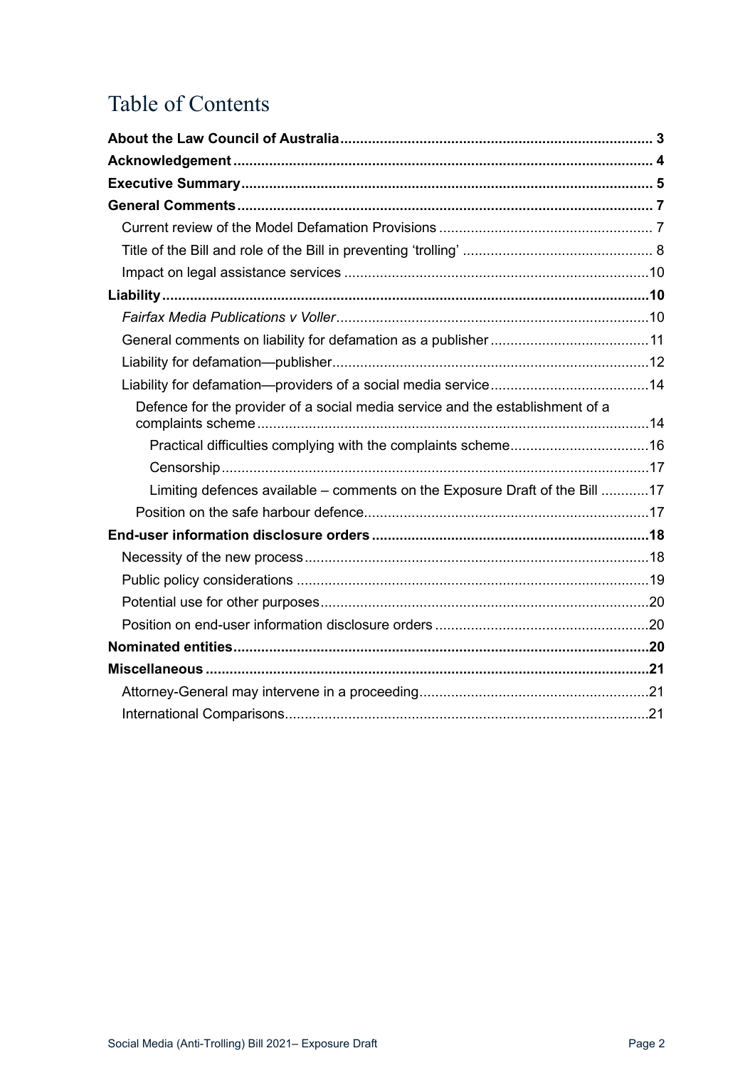# Table of Contents

| Defence for the provider of a social media service and the establishment of a |
|-------------------------------------------------------------------------------|
|                                                                               |
|                                                                               |
| Limiting defences available – comments on the Exposure Draft of the Bill 17   |
|                                                                               |
|                                                                               |
|                                                                               |
|                                                                               |
|                                                                               |
|                                                                               |
|                                                                               |
|                                                                               |
|                                                                               |
|                                                                               |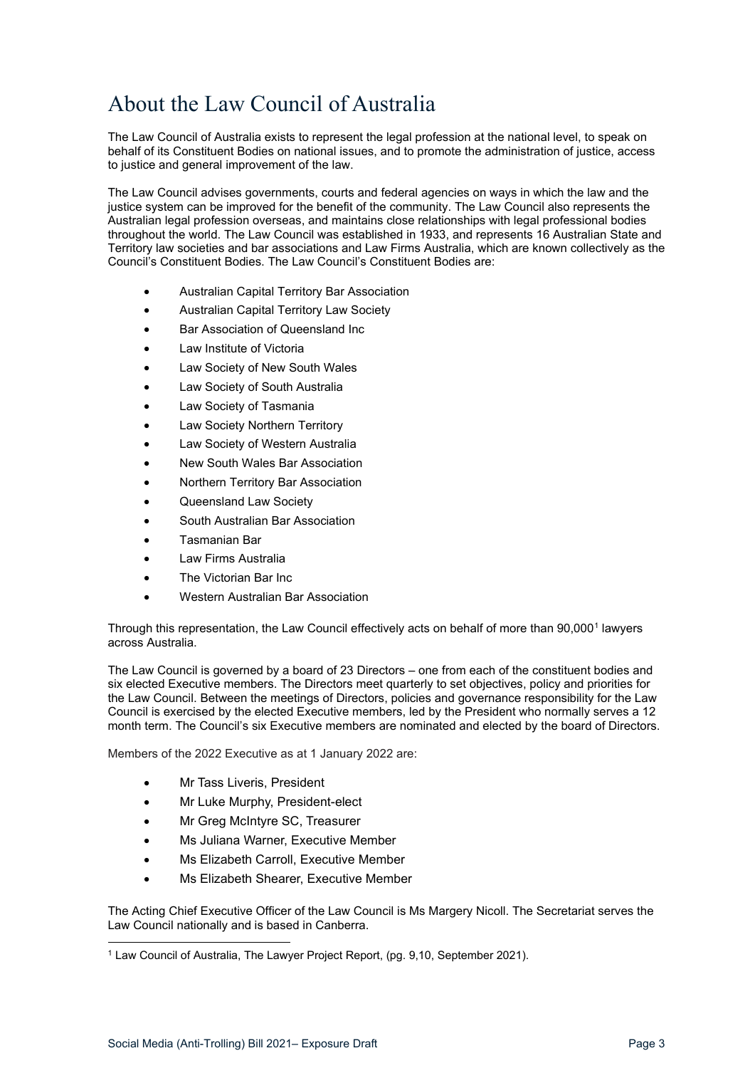# <span id="page-2-0"></span>About the Law Council of Australia

The Law Council of Australia exists to represent the legal profession at the national level, to speak on behalf of its Constituent Bodies on national issues, and to promote the administration of justice, access to justice and general improvement of the law.

The Law Council advises governments, courts and federal agencies on ways in which the law and the justice system can be improved for the benefit of the community. The Law Council also represents the Australian legal profession overseas, and maintains close relationships with legal professional bodies throughout the world. The Law Council was established in 1933, and represents 16 Australian State and Territory law societies and bar associations and Law Firms Australia, which are known collectively as the Council's Constituent Bodies. The Law Council's Constituent Bodies are:

- Australian Capital Territory Bar Association
- Australian Capital Territory Law Society
- Bar Association of Queensland Inc
- Law Institute of Victoria
- Law Society of New South Wales
- Law Society of South Australia
- Law Society of Tasmania
- Law Society Northern Territory
- Law Society of Western Australia
- New South Wales Bar Association
- Northern Territory Bar Association
- Queensland Law Society
- South Australian Bar Association
- Tasmanian Bar
- Law Firms Australia
- The Victorian Bar Inc.
- Western Australian Bar Association

Through this representation, the Law Council effectively acts on behalf of more than 90,000<sup>[1](#page-2-1)</sup> lawyers across Australia.

The Law Council is governed by a board of 23 Directors – one from each of the constituent bodies and six elected Executive members. The Directors meet quarterly to set objectives, policy and priorities for the Law Council. Between the meetings of Directors, policies and governance responsibility for the Law Council is exercised by the elected Executive members, led by the President who normally serves a 12 month term. The Council's six Executive members are nominated and elected by the board of Directors.

Members of the 2022 Executive as at 1 January 2022 are:

- Mr Tass Liveris, President
- Mr Luke Murphy, President-elect
- Mr Greg McIntyre SC, Treasurer
- Ms Juliana Warner, Executive Member
- Ms Elizabeth Carroll, Executive Member
- Ms Elizabeth Shearer, Executive Member

The Acting Chief Executive Officer of the Law Council is Ms Margery Nicoll. The Secretariat serves the Law Council nationally and is based in Canberra.

<span id="page-2-1"></span><sup>1</sup> Law Council of Australia, The Lawyer Project Report, (pg. 9,10, September 2021).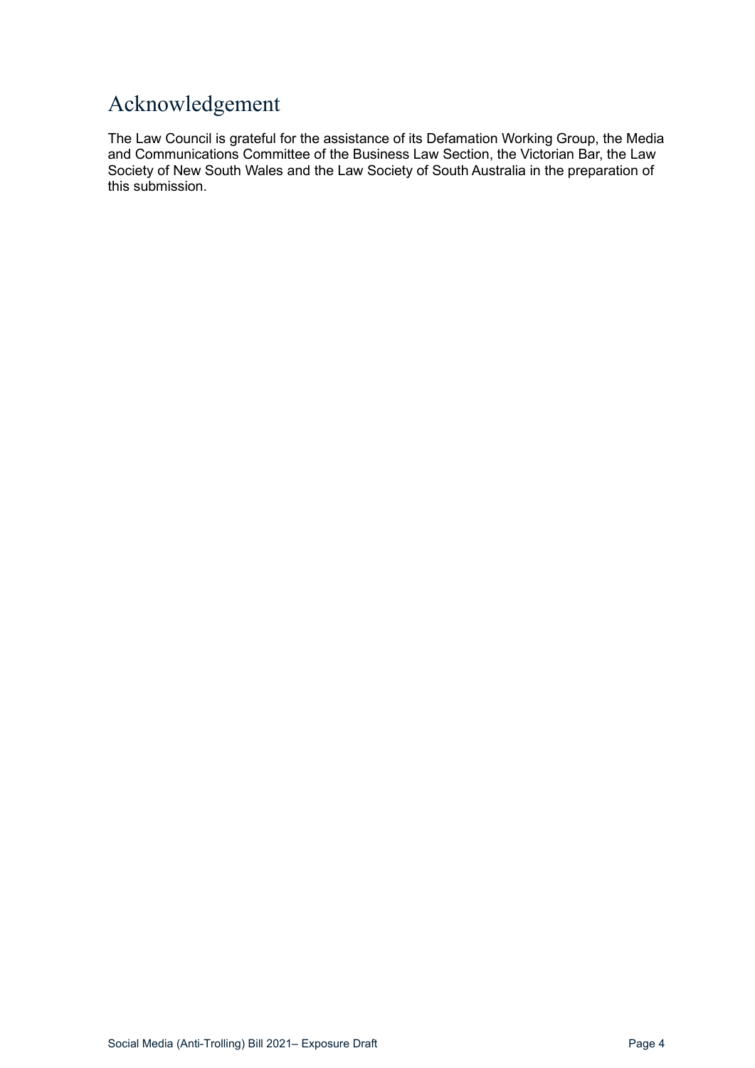# <span id="page-3-0"></span>Acknowledgement

The Law Council is grateful for the assistance of its Defamation Working Group, the Media and Communications Committee of the Business Law Section, the Victorian Bar, the Law Society of New South Wales and the Law Society of South Australia in the preparation of this submission.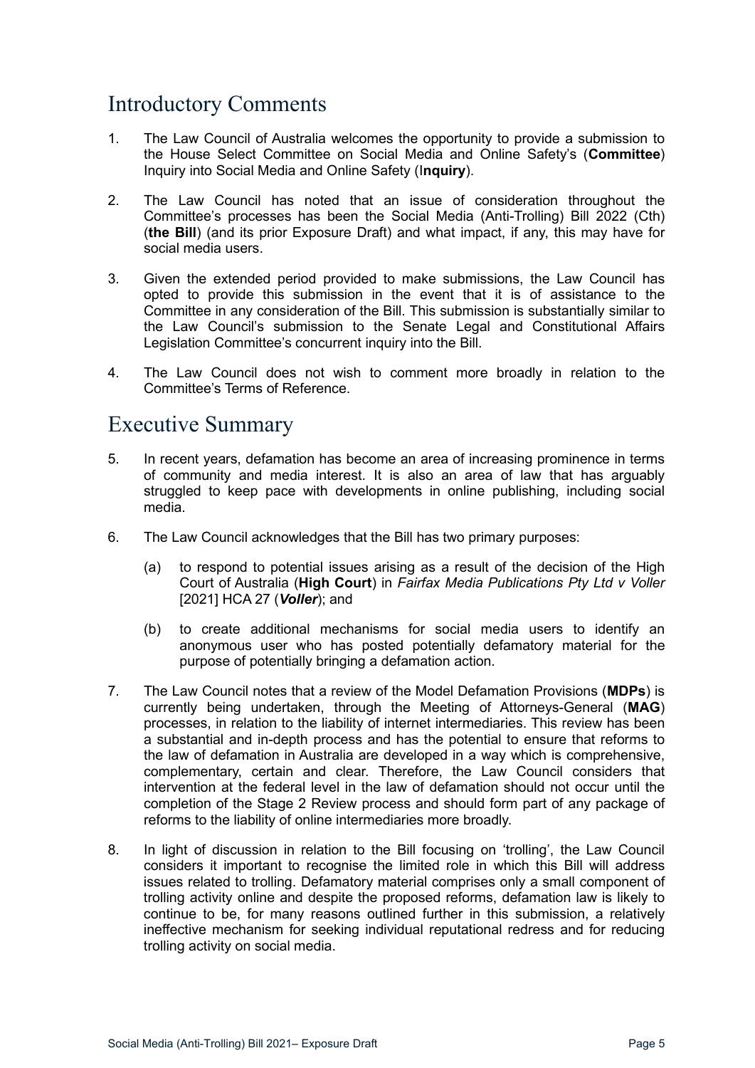# <span id="page-4-0"></span>Introductory Comments

- 1. The Law Council of Australia welcomes the opportunity to provide a submission to the House Select Committee on Social Media and Online Safety's (**Committee**) Inquiry into Social Media and Online Safety (I**nquiry**).
- 2. The Law Council has noted that an issue of consideration throughout the Committee's processes has been the Social Media (Anti-Trolling) Bill 2022 (Cth) (**the Bill**) (and its prior Exposure Draft) and what impact, if any, this may have for social media users.
- 3. Given the extended period provided to make submissions, the Law Council has opted to provide this submission in the event that it is of assistance to the Committee in any consideration of the Bill. This submission is substantially similar to the Law Council's submission to the Senate Legal and Constitutional Affairs Legislation Committee's concurrent inquiry into the Bill.
- 4. The Law Council does not wish to comment more broadly in relation to the Committee's Terms of Reference.

# Executive Summary

- 5. In recent years, defamation has become an area of increasing prominence in terms of community and media interest. It is also an area of law that has arguably struggled to keep pace with developments in online publishing, including social media.
- 6. The Law Council acknowledges that the Bill has two primary purposes:
	- (a) to respond to potential issues arising as a result of the decision of the High Court of Australia (**High Court**) in *Fairfax Media Publications Pty Ltd v Voller* [2021] HCA 27 (*Voller*); and
	- (b) to create additional mechanisms for social media users to identify an anonymous user who has posted potentially defamatory material for the purpose of potentially bringing a defamation action.
- 7. The Law Council notes that a review of the Model Defamation Provisions (**MDPs**) is currently being undertaken, through the Meeting of Attorneys-General (**MAG**) processes, in relation to the liability of internet intermediaries. This review has been a substantial and in-depth process and has the potential to ensure that reforms to the law of defamation in Australia are developed in a way which is comprehensive, complementary, certain and clear. Therefore, the Law Council considers that intervention at the federal level in the law of defamation should not occur until the completion of the Stage 2 Review process and should form part of any package of reforms to the liability of online intermediaries more broadly.
- 8. In light of discussion in relation to the Bill focusing on 'trolling', the Law Council considers it important to recognise the limited role in which this Bill will address issues related to trolling. Defamatory material comprises only a small component of trolling activity online and despite the proposed reforms, defamation law is likely to continue to be, for many reasons outlined further in this submission, a relatively ineffective mechanism for seeking individual reputational redress and for reducing trolling activity on social media.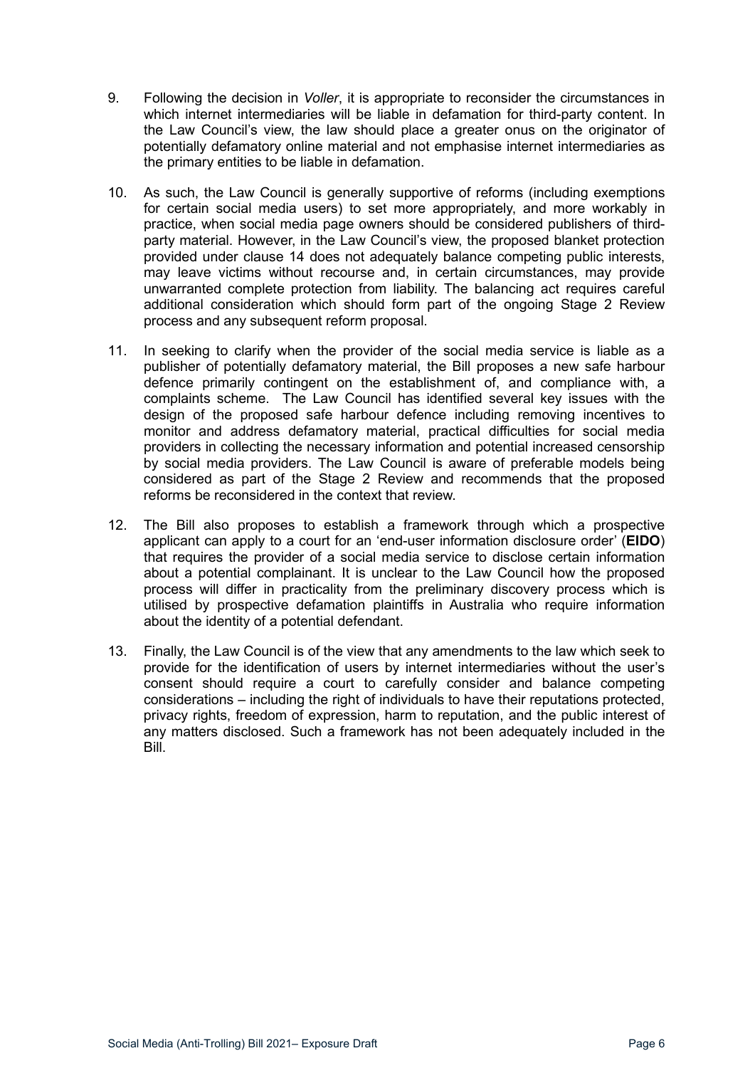- 9. Following the decision in *Voller*, it is appropriate to reconsider the circumstances in which internet intermediaries will be liable in defamation for third-party content. In the Law Council's view, the law should place a greater onus on the originator of potentially defamatory online material and not emphasise internet intermediaries as the primary entities to be liable in defamation.
- 10. As such, the Law Council is generally supportive of reforms (including exemptions for certain social media users) to set more appropriately, and more workably in practice, when social media page owners should be considered publishers of thirdparty material. However, in the Law Council's view, the proposed blanket protection provided under clause 14 does not adequately balance competing public interests, may leave victims without recourse and, in certain circumstances, may provide unwarranted complete protection from liability. The balancing act requires careful additional consideration which should form part of the ongoing Stage 2 Review process and any subsequent reform proposal.
- 11. In seeking to clarify when the provider of the social media service is liable as a publisher of potentially defamatory material, the Bill proposes a new safe harbour defence primarily contingent on the establishment of, and compliance with, a complaints scheme. The Law Council has identified several key issues with the design of the proposed safe harbour defence including removing incentives to monitor and address defamatory material, practical difficulties for social media providers in collecting the necessary information and potential increased censorship by social media providers. The Law Council is aware of preferable models being considered as part of the Stage 2 Review and recommends that the proposed reforms be reconsidered in the context that review.
- 12. The Bill also proposes to establish a framework through which a prospective applicant can apply to a court for an 'end-user information disclosure order' (**EIDO**) that requires the provider of a social media service to disclose certain information about a potential complainant. It is unclear to the Law Council how the proposed process will differ in practicality from the preliminary discovery process which is utilised by prospective defamation plaintiffs in Australia who require information about the identity of a potential defendant.
- 13. Finally, the Law Council is of the view that any amendments to the law which seek to provide for the identification of users by internet intermediaries without the user's consent should require a court to carefully consider and balance competing considerations – including the right of individuals to have their reputations protected, privacy rights, freedom of expression, harm to reputation, and the public interest of any matters disclosed. Such a framework has not been adequately included in the Bill.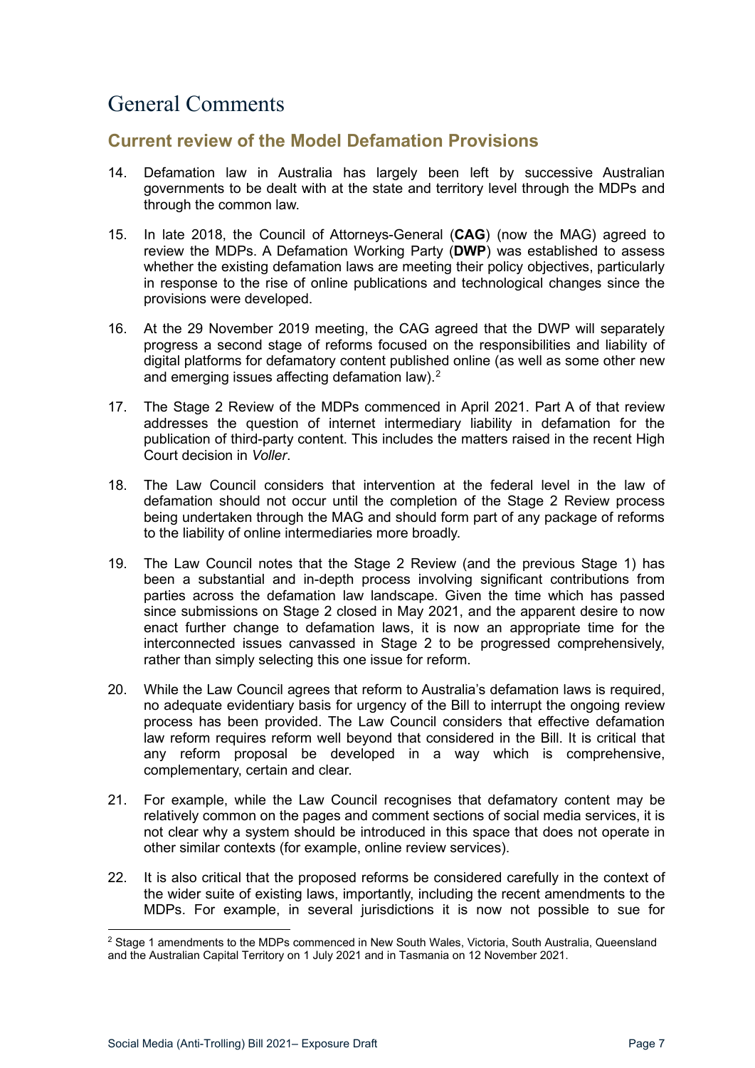# <span id="page-6-0"></span>General Comments

### <span id="page-6-1"></span>**Current review of the Model Defamation Provisions**

- 14. Defamation law in Australia has largely been left by successive Australian governments to be dealt with at the state and territory level through the MDPs and through the common law.
- 15. In late 2018, the Council of Attorneys-General (**CAG**) (now the MAG) agreed to review the MDPs. A Defamation Working Party (**DWP**) was established to assess whether the existing defamation laws are meeting their policy objectives, particularly in response to the rise of online publications and technological changes since the provisions were developed.
- 16. At the 29 November 2019 meeting, the CAG agreed that the DWP will separately progress a second stage of reforms focused on the responsibilities and liability of digital platforms for defamatory content published online (as well as some other new and emerging issues affecting defamation law). $^{\rm 2}$  $^{\rm 2}$  $^{\rm 2}$
- 17. The Stage 2 Review of the MDPs commenced in April 2021. Part A of that review addresses the question of internet intermediary liability in defamation for the publication of third-party content. This includes the matters raised in the recent High Court decision in *Voller*.
- 18. The Law Council considers that intervention at the federal level in the law of defamation should not occur until the completion of the Stage 2 Review process being undertaken through the MAG and should form part of any package of reforms to the liability of online intermediaries more broadly.
- 19. The Law Council notes that the Stage 2 Review (and the previous Stage 1) has been a substantial and in-depth process involving significant contributions from parties across the defamation law landscape. Given the time which has passed since submissions on Stage 2 closed in May 2021, and the apparent desire to now enact further change to defamation laws, it is now an appropriate time for the interconnected issues canvassed in Stage 2 to be progressed comprehensively, rather than simply selecting this one issue for reform.
- 20. While the Law Council agrees that reform to Australia's defamation laws is required, no adequate evidentiary basis for urgency of the Bill to interrupt the ongoing review process has been provided. The Law Council considers that effective defamation law reform requires reform well beyond that considered in the Bill. It is critical that any reform proposal be developed in a way which is comprehensive, complementary, certain and clear.
- 21. For example, while the Law Council recognises that defamatory content may be relatively common on the pages and comment sections of social media services, it is not clear why a system should be introduced in this space that does not operate in other similar contexts (for example, online review services).
- 22. It is also critical that the proposed reforms be considered carefully in the context of the wider suite of existing laws, importantly, including the recent amendments to the MDPs. For example, in several jurisdictions it is now not possible to sue for

<span id="page-6-2"></span><sup>&</sup>lt;sup>2</sup> Stage 1 amendments to the MDPs commenced in New South Wales, Victoria, South Australia, Queensland and the Australian Capital Territory on 1 July 2021 and in Tasmania on 12 November 2021.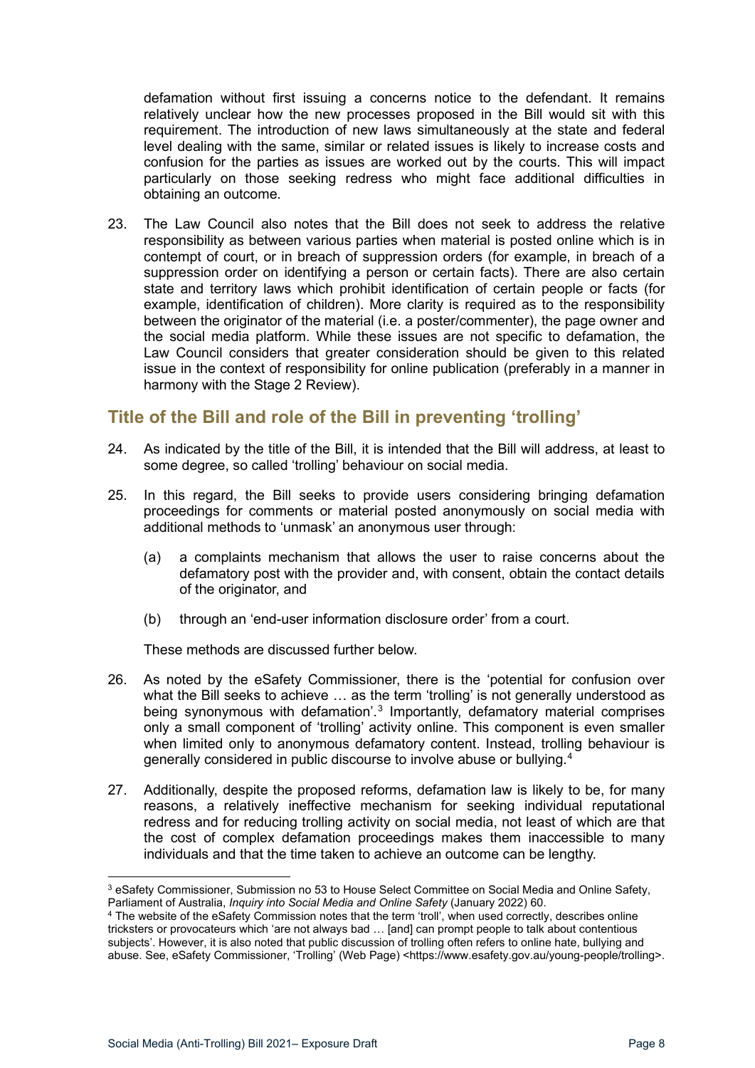defamation without first issuing a concerns notice to the defendant. It remains relatively unclear how the new processes proposed in the Bill would sit with this requirement. The introduction of new laws simultaneously at the state and federal level dealing with the same, similar or related issues is likely to increase costs and confusion for the parties as issues are worked out by the courts. This will impact particularly on those seeking redress who might face additional difficulties in obtaining an outcome.

23. The Law Council also notes that the Bill does not seek to address the relative responsibility as between various parties when material is posted online which is in contempt of court, or in breach of suppression orders (for example, in breach of a suppression order on identifying a person or certain facts). There are also certain state and territory laws which prohibit identification of certain people or facts (for example, identification of children). More clarity is required as to the responsibility between the originator of the material (i.e. a poster/commenter), the page owner and the social media platform. While these issues are not specific to defamation, the Law Council considers that greater consideration should be given to this related issue in the context of responsibility for online publication (preferably in a manner in harmony with the Stage 2 Review).

# <span id="page-7-0"></span>**Title of the Bill and role of the Bill in preventing 'trolling'**

- 24. As indicated by the title of the Bill, it is intended that the Bill will address, at least to some degree, so called 'trolling' behaviour on social media.
- 25. In this regard, the Bill seeks to provide users considering bringing defamation proceedings for comments or material posted anonymously on social media with additional methods to 'unmask' an anonymous user through:
	- (a) a complaints mechanism that allows the user to raise concerns about the defamatory post with the provider and, with consent, obtain the contact details of the originator, and
	- (b) through an 'end-user information disclosure order' from a court.

These methods are discussed further below.

- 26. As noted by the eSafety Commissioner, there is the 'potential for confusion over what the Bill seeks to achieve ... as the term 'trolling' is not generally understood as being synonymous with defamation'.<sup>[3](#page-7-1)</sup> Importantly, defamatory material comprises only a small component of 'trolling' activity online. This component is even smaller when limited only to anonymous defamatory content. Instead, trolling behaviour is generally considered in public discourse to involve abuse or bullying.[4](#page-7-2)
- 27. Additionally, despite the proposed reforms, defamation law is likely to be, for many reasons, a relatively ineffective mechanism for seeking individual reputational redress and for reducing trolling activity on social media, not least of which are that the cost of complex defamation proceedings makes them inaccessible to many individuals and that the time taken to achieve an outcome can be lengthy.

<span id="page-7-1"></span><sup>&</sup>lt;sup>3</sup> eSafety Commissioner, Submission no 53 to House Select Committee on Social Media and Online Safety, Parliament of Australia, *Inquiry into Social Media and Online Safety* (January 2022) 60.

<span id="page-7-2"></span><sup>4</sup> The website of the eSafety Commission notes that the term 'troll', when used correctly, describes online tricksters or provocateurs which 'are not always bad … [and] can prompt people to talk about contentious subjects'. However, it is also noted that public discussion of trolling often refers to online hate, bullying and abuse. See, eSafety Commissioner, 'Trolling' (Web Page) <https://www.esafety.gov.au/young-people/trolling>.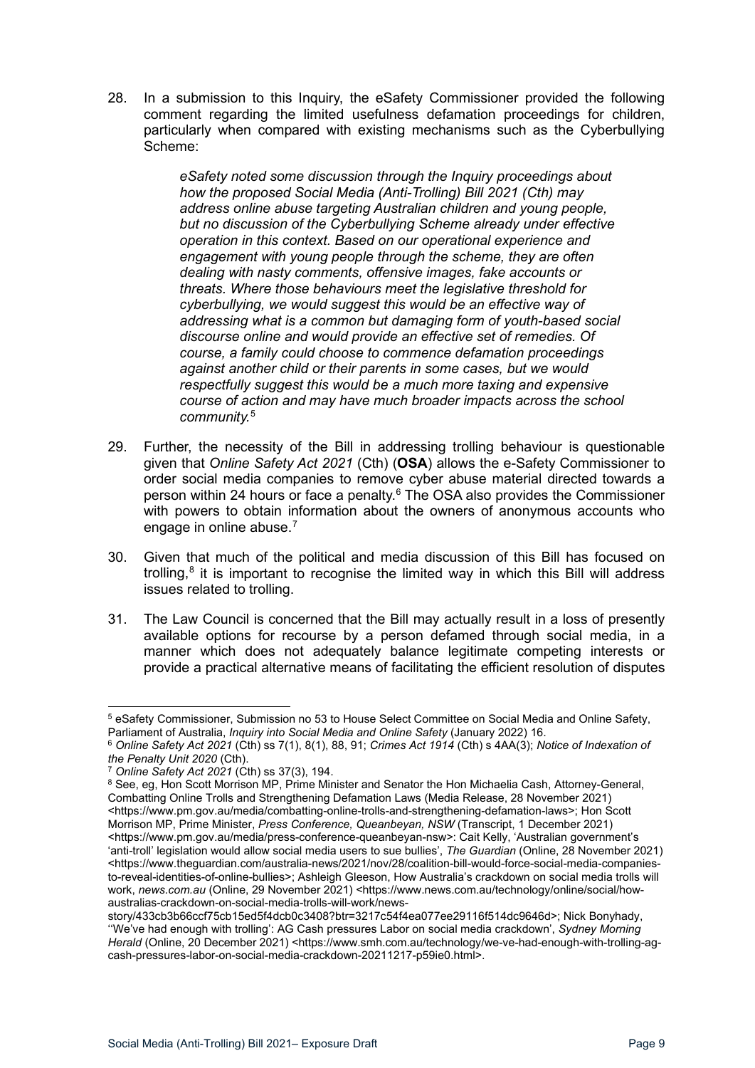28. In a submission to this Inquiry, the eSafety Commissioner provided the following comment regarding the limited usefulness defamation proceedings for children, particularly when compared with existing mechanisms such as the Cyberbullying Scheme:

> *eSafety noted some discussion through the Inquiry proceedings about how the proposed Social Media (Anti-Trolling) Bill 2021 (Cth) may address online abuse targeting Australian children and young people, but no discussion of the Cyberbullying Scheme already under effective operation in this context. Based on our operational experience and engagement with young people through the scheme, they are often dealing with nasty comments, offensive images, fake accounts or threats. Where those behaviours meet the legislative threshold for cyberbullying, we would suggest this would be an effective way of addressing what is a common but damaging form of youth-based social discourse online and would provide an effective set of remedies. Of course, a family could choose to commence defamation proceedings against another child or their parents in some cases, but we would respectfully suggest this would be a much more taxing and expensive course of action and may have much broader impacts across the school community.*[5](#page-8-0)

- 29. Further, the necessity of the Bill in addressing trolling behaviour is questionable given that *Online Safety Act 2021* (Cth) (**OSA**) allows the e-Safety Commissioner to order social media companies to remove cyber abuse material directed towards a person within 24 hours or face a penalty. [6](#page-8-1) The OSA also provides the Commissioner with powers to obtain information about the owners of anonymous accounts who engage in online abuse.<sup>[7](#page-8-2)</sup>
- 30. Given that much of the political and media discussion of this Bill has focused on trolling, [8](#page-8-3) it is important to recognise the limited way in which this Bill will address issues related to trolling.
- 31. The Law Council is concerned that the Bill may actually result in a loss of presently available options for recourse by a person defamed through social media, in a manner which does not adequately balance legitimate competing interests or provide a practical alternative means of facilitating the efficient resolution of disputes

<span id="page-8-0"></span><sup>5</sup> eSafety Commissioner, Submission no 53 to House Select Committee on Social Media and Online Safety, Parliament of Australia, *Inquiry into Social Media and Online Safety* (January 2022) 16.

<span id="page-8-1"></span><sup>6</sup> *Online Safety Act 2021* (Cth) ss 7(1), 8(1), 88, 91; *Crimes Act 1914* (Cth) s 4AA(3); *Notice of Indexation of the Penalty Unit 2020* (Cth). 7 *Online Safety Act 2021* (Cth) ss 37(3), 194.

<span id="page-8-3"></span><span id="page-8-2"></span><sup>&</sup>lt;sup>8</sup> See, eg, Hon Scott Morrison MP, Prime Minister and Senator the Hon Michaelia Cash, Attorney-General, Combatting Online Trolls and Strengthening Defamation Laws (Media Release, 28 November 2021) <https://www.pm.gov.au/media/combatting-online-trolls-and-strengthening-defamation-laws>; Hon Scott Morrison MP, Prime Minister, *Press Conference, Queanbeyan, NSW* (Transcript, 1 December 2021) <https://www.pm.gov.au/media/press-conference-queanbeyan-nsw>: Cait Kelly, 'Australian government's 'anti-troll' legislation would allow social media users to sue bullies', *The Guardian* (Online, 28 November 2021) <https://www.theguardian.com/australia-news/2021/nov/28/coalition-bill-would-force-social-media-companiesto-reveal-identities-of-online-bullies>; Ashleigh Gleeson, How Australia's crackdown on social media trolls will work, *news.com.au* (Online, 29 November 2021) <https://www.news.com.au/technology/online/social/howaustralias-crackdown-on-social-media-trolls-will-work/news-

story/433cb3b66ccf75cb15ed5f4dcb0c3408?btr=3217c54f4ea077ee29116f514dc9646d>; Nick Bonyhady, ''We've had enough with trolling': AG Cash pressures Labor on social media crackdown', *Sydney Morning*  Herald (Online, 20 December 2021) <https://www.smh.com.au/technology/we-ve-had-enough-with-trolling-agcash-pressures-labor-on-social-media-crackdown-20211217-p59ie0.html>.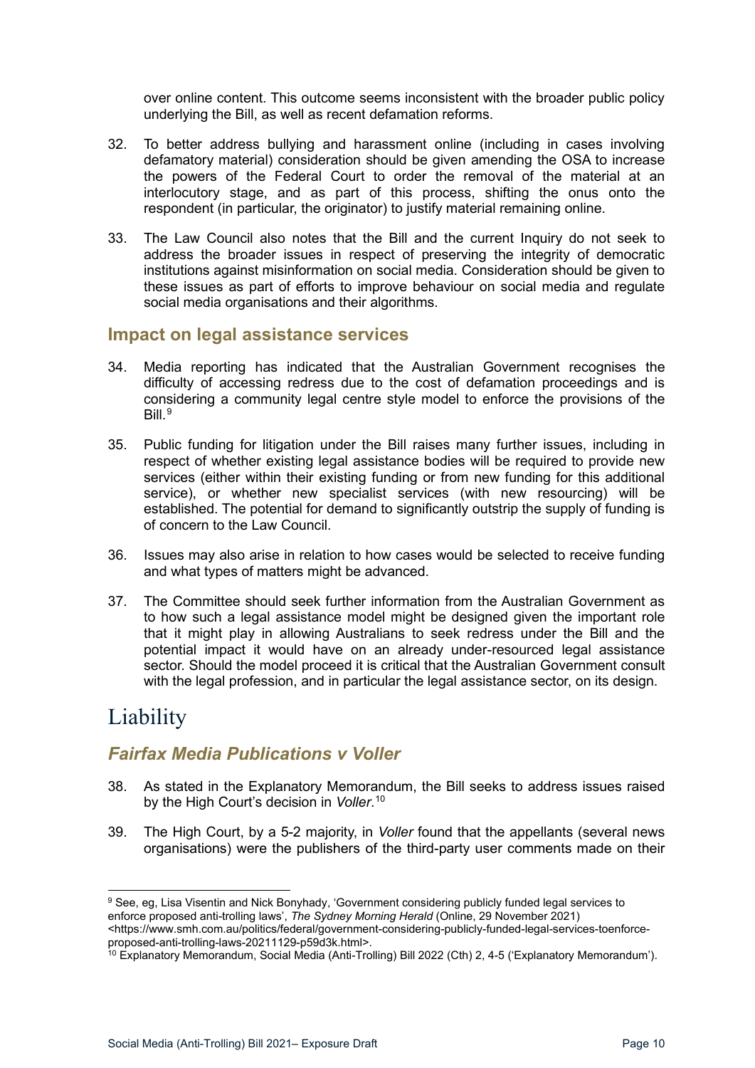over online content. This outcome seems inconsistent with the broader public policy underlying the Bill, as well as recent defamation reforms.

- 32. To better address bullying and harassment online (including in cases involving defamatory material) consideration should be given amending the OSA to increase the powers of the Federal Court to order the removal of the material at an interlocutory stage, and as part of this process, shifting the onus onto the respondent (in particular, the originator) to justify material remaining online.
- 33. The Law Council also notes that the Bill and the current Inquiry do not seek to address the broader issues in respect of preserving the integrity of democratic institutions against misinformation on social media. Consideration should be given to these issues as part of efforts to improve behaviour on social media and regulate social media organisations and their algorithms.

### <span id="page-9-0"></span>**Impact on legal assistance services**

- 34. Media reporting has indicated that the Australian Government recognises the difficulty of accessing redress due to the cost of defamation proceedings and is considering a community legal centre style model to enforce the provisions of the Bill. [9](#page-9-3)
- 35. Public funding for litigation under the Bill raises many further issues, including in respect of whether existing legal assistance bodies will be required to provide new services (either within their existing funding or from new funding for this additional service), or whether new specialist services (with new resourcing) will be established. The potential for demand to significantly outstrip the supply of funding is of concern to the Law Council.
- 36. Issues may also arise in relation to how cases would be selected to receive funding and what types of matters might be advanced.
- 37. The Committee should seek further information from the Australian Government as to how such a legal assistance model might be designed given the important role that it might play in allowing Australians to seek redress under the Bill and the potential impact it would have on an already under-resourced legal assistance sector. Should the model proceed it is critical that the Australian Government consult with the legal profession, and in particular the legal assistance sector, on its design.

# <span id="page-9-1"></span>Liability

# <span id="page-9-2"></span>*Fairfax Media Publications v Voller*

- 38. As stated in the Explanatory Memorandum, the Bill seeks to address issues raised by the High Court's decision in *Voller*. [10](#page-9-4)
- 39. The High Court, by a 5-2 majority, in *Voller* found that the appellants (several news organisations) were the publishers of the third-party user comments made on their

<span id="page-9-3"></span><sup>9</sup> See, eg, Lisa Visentin and Nick Bonyhady, 'Government considering publicly funded legal services to enforce proposed anti-trolling laws', *The Sydney Morning Herald* (Online, 29 November 2021) <https://www.smh.com.au/politics/federal/government-considering-publicly-funded-legal-services-toenforce-

<span id="page-9-4"></span>proposed-anti-trolling-laws-20211129-p59d3k.html>.

<sup>10</sup> Explanatory Memorandum, Social Media (Anti-Trolling) Bill 2022 (Cth) 2, 4-5 ('Explanatory Memorandum').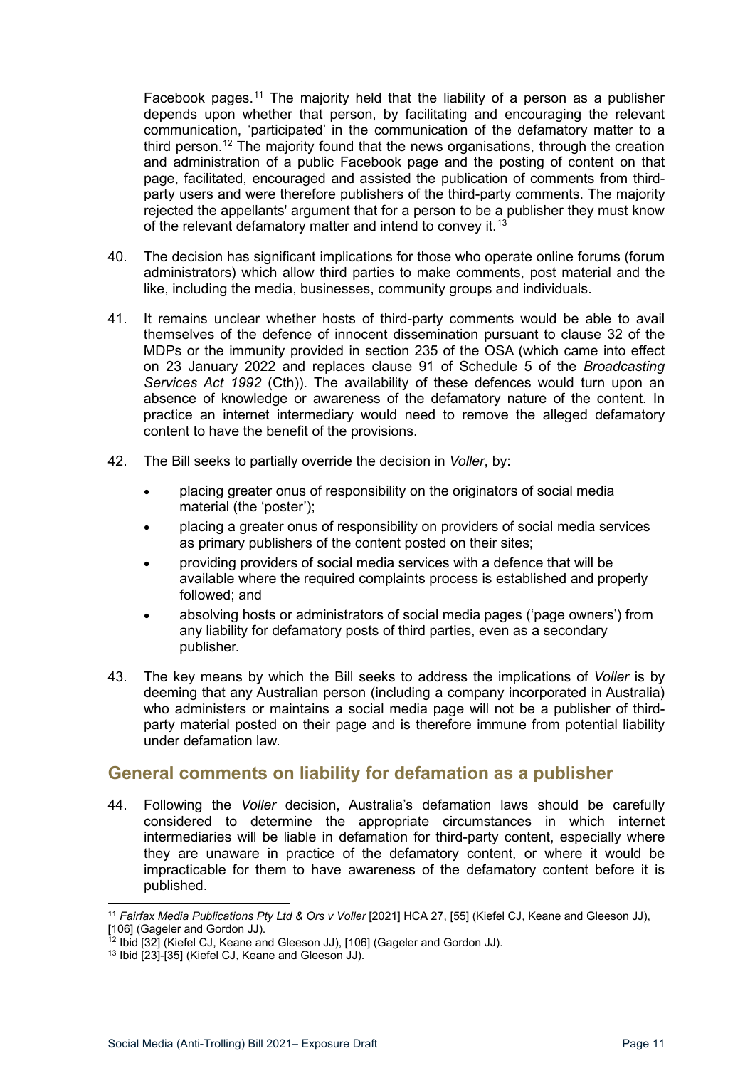Facebook pages.<sup>[11](#page-10-1)</sup> The majority held that the liability of a person as a publisher depends upon whether that person, by facilitating and encouraging the relevant communication, 'participated' in the communication of the defamatory matter to a third person.<sup>[12](#page-10-2)</sup> The majority found that the news organisations, through the creation and administration of a public Facebook page and the posting of content on that page, facilitated, encouraged and assisted the publication of comments from thirdparty users and were therefore publishers of the third-party comments. The majority rejected the appellants' argument that for a person to be a publisher they must know of the relevant defamatory matter and intend to convey it.<sup>[13](#page-10-3)</sup>

- 40. The decision has significant implications for those who operate online forums (forum administrators) which allow third parties to make comments, post material and the like, including the media, businesses, community groups and individuals.
- 41. It remains unclear whether hosts of third-party comments would be able to avail themselves of the defence of innocent dissemination pursuant to clause 32 of the MDPs or the immunity provided in section 235 of the OSA (which came into effect on 23 January 2022 and replaces clause 91 of Schedule 5 of the *Broadcasting Services Act 1992* (Cth)). The availability of these defences would turn upon an absence of knowledge or awareness of the defamatory nature of the content. In practice an internet intermediary would need to remove the alleged defamatory content to have the benefit of the provisions.
- 42. The Bill seeks to partially override the decision in *Voller*, by:
	- placing greater onus of responsibility on the originators of social media material (the 'poster');
	- placing a greater onus of responsibility on providers of social media services as primary publishers of the content posted on their sites;
	- providing providers of social media services with a defence that will be available where the required complaints process is established and properly followed; and
	- absolving hosts or administrators of social media pages ('page owners') from any liability for defamatory posts of third parties, even as a secondary publisher.
- 43. The key means by which the Bill seeks to address the implications of *Voller* is by deeming that any Australian person (including a company incorporated in Australia) who administers or maintains a social media page will not be a publisher of thirdparty material posted on their page and is therefore immune from potential liability under defamation law.

# <span id="page-10-0"></span>**General comments on liability for defamation as a publisher**

44. Following the *Voller* decision, Australia's defamation laws should be carefully considered to determine the appropriate circumstances in which internet intermediaries will be liable in defamation for third-party content, especially where they are unaware in practice of the defamatory content, or where it would be impracticable for them to have awareness of the defamatory content before it is published.

<span id="page-10-1"></span><sup>11</sup> *Fairfax Media Publications Pty Ltd & Ors v Voller* [2021] HCA 27, [55] (Kiefel CJ, Keane and Gleeson JJ),

<sup>[106] (</sup>Gageler and Gordon JJ).

<span id="page-10-2"></span><sup>12</sup> Ibid [32] (Kiefel CJ, Keane and Gleeson JJ), [106] (Gageler and Gordon JJ).

<span id="page-10-3"></span><sup>13</sup> Ibid [23]-[35] (Kiefel CJ, Keane and Gleeson JJ).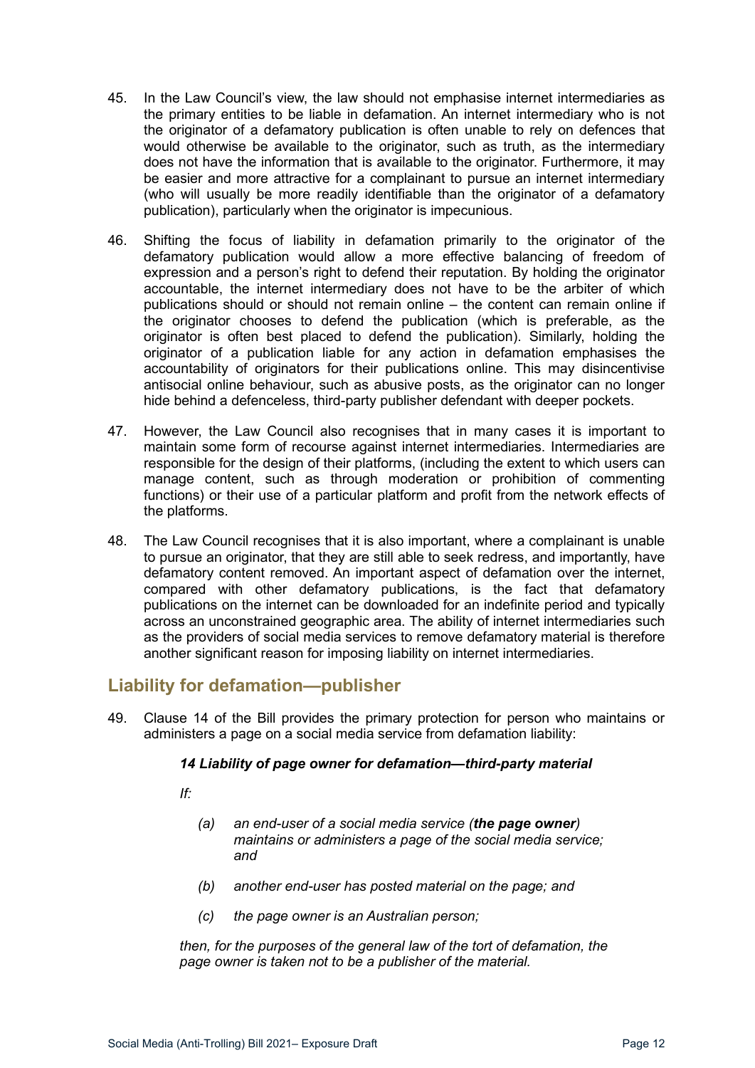- 45. In the Law Council's view, the law should not emphasise internet intermediaries as the primary entities to be liable in defamation. An internet intermediary who is not the originator of a defamatory publication is often unable to rely on defences that would otherwise be available to the originator, such as truth, as the intermediary does not have the information that is available to the originator. Furthermore, it may be easier and more attractive for a complainant to pursue an internet intermediary (who will usually be more readily identifiable than the originator of a defamatory publication), particularly when the originator is impecunious.
- 46. Shifting the focus of liability in defamation primarily to the originator of the defamatory publication would allow a more effective balancing of freedom of expression and a person's right to defend their reputation. By holding the originator accountable, the internet intermediary does not have to be the arbiter of which publications should or should not remain online – the content can remain online if the originator chooses to defend the publication (which is preferable, as the originator is often best placed to defend the publication). Similarly, holding the originator of a publication liable for any action in defamation emphasises the accountability of originators for their publications online. This may disincentivise antisocial online behaviour, such as abusive posts, as the originator can no longer hide behind a defenceless, third-party publisher defendant with deeper pockets.
- 47. However, the Law Council also recognises that in many cases it is important to maintain some form of recourse against internet intermediaries. Intermediaries are responsible for the design of their platforms, (including the extent to which users can manage content, such as through moderation or prohibition of commenting functions) or their use of a particular platform and profit from the network effects of the platforms.
- 48. The Law Council recognises that it is also important, where a complainant is unable to pursue an originator, that they are still able to seek redress, and importantly, have defamatory content removed. An important aspect of defamation over the internet, compared with other defamatory publications, is the fact that defamatory publications on the internet can be downloaded for an indefinite period and typically across an unconstrained geographic area. The ability of internet intermediaries such as the providers of social media services to remove defamatory material is therefore another significant reason for imposing liability on internet intermediaries.

# <span id="page-11-0"></span>**Liability for defamation—publisher**

49. Clause 14 of the Bill provides the primary protection for person who maintains or administers a page on a social media service from defamation liability:

#### *14 Liability of page owner for defamation—third-party material*

*If:*

- *(a) an end-user of a social media service (the page owner) maintains or administers a page of the social media service; and*
- *(b) another end-user has posted material on the page; and*
- *(c) the page owner is an Australian person;*

*then, for the purposes of the general law of the tort of defamation, the page owner is taken not to be a publisher of the material.*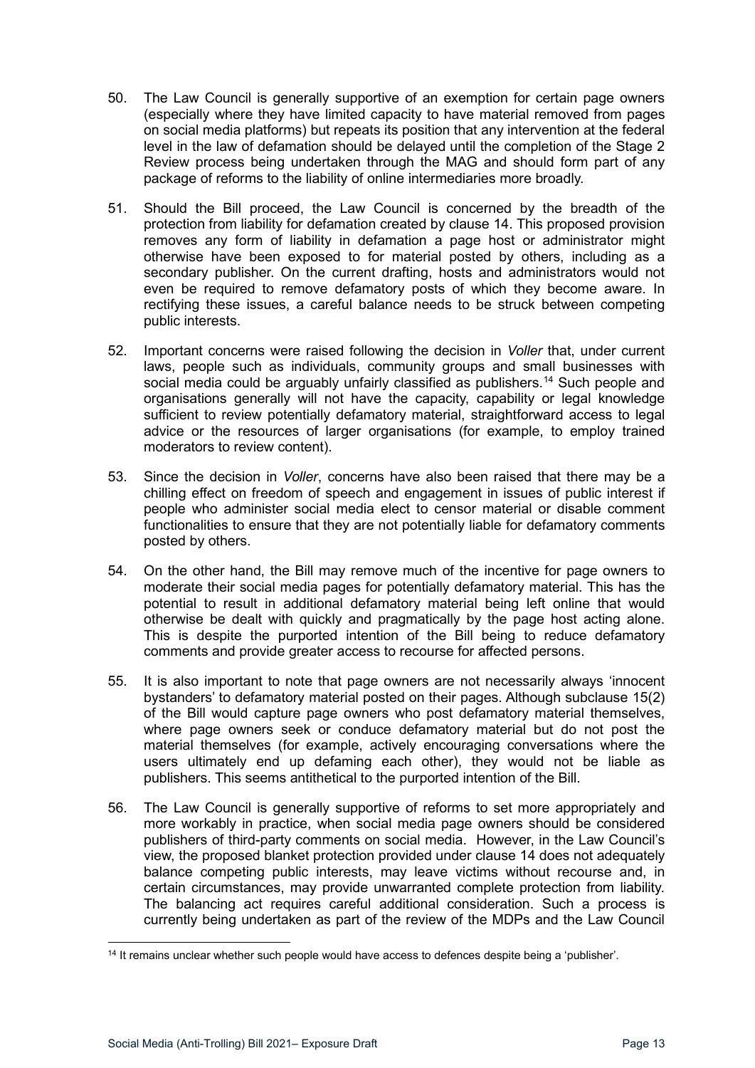- 50. The Law Council is generally supportive of an exemption for certain page owners (especially where they have limited capacity to have material removed from pages on social media platforms) but repeats its position that any intervention at the federal level in the law of defamation should be delayed until the completion of the Stage 2 Review process being undertaken through the MAG and should form part of any package of reforms to the liability of online intermediaries more broadly.
- 51. Should the Bill proceed, the Law Council is concerned by the breadth of the protection from liability for defamation created by clause 14. This proposed provision removes any form of liability in defamation a page host or administrator might otherwise have been exposed to for material posted by others, including as a secondary publisher. On the current drafting, hosts and administrators would not even be required to remove defamatory posts of which they become aware. In rectifying these issues, a careful balance needs to be struck between competing public interests.
- 52. Important concerns were raised following the decision in *Voller* that, under current laws, people such as individuals, community groups and small businesses with social media could be arguably unfairly classified as publishers. [14](#page-12-0) Such people and organisations generally will not have the capacity, capability or legal knowledge sufficient to review potentially defamatory material, straightforward access to legal advice or the resources of larger organisations (for example, to employ trained moderators to review content).
- 53. Since the decision in *Voller*, concerns have also been raised that there may be a chilling effect on freedom of speech and engagement in issues of public interest if people who administer social media elect to censor material or disable comment functionalities to ensure that they are not potentially liable for defamatory comments posted by others.
- 54. On the other hand, the Bill may remove much of the incentive for page owners to moderate their social media pages for potentially defamatory material. This has the potential to result in additional defamatory material being left online that would otherwise be dealt with quickly and pragmatically by the page host acting alone. This is despite the purported intention of the Bill being to reduce defamatory comments and provide greater access to recourse for affected persons.
- 55. It is also important to note that page owners are not necessarily always 'innocent bystanders' to defamatory material posted on their pages. Although subclause 15(2) of the Bill would capture page owners who post defamatory material themselves, where page owners seek or conduce defamatory material but do not post the material themselves (for example, actively encouraging conversations where the users ultimately end up defaming each other), they would not be liable as publishers. This seems antithetical to the purported intention of the Bill.
- 56. The Law Council is generally supportive of reforms to set more appropriately and more workably in practice, when social media page owners should be considered publishers of third-party comments on social media. However, in the Law Council's view, the proposed blanket protection provided under clause 14 does not adequately balance competing public interests, may leave victims without recourse and, in certain circumstances, may provide unwarranted complete protection from liability. The balancing act requires careful additional consideration. Such a process is currently being undertaken as part of the review of the MDPs and the Law Council

<span id="page-12-0"></span><sup>&</sup>lt;sup>14</sup> It remains unclear whether such people would have access to defences despite being a 'publisher'.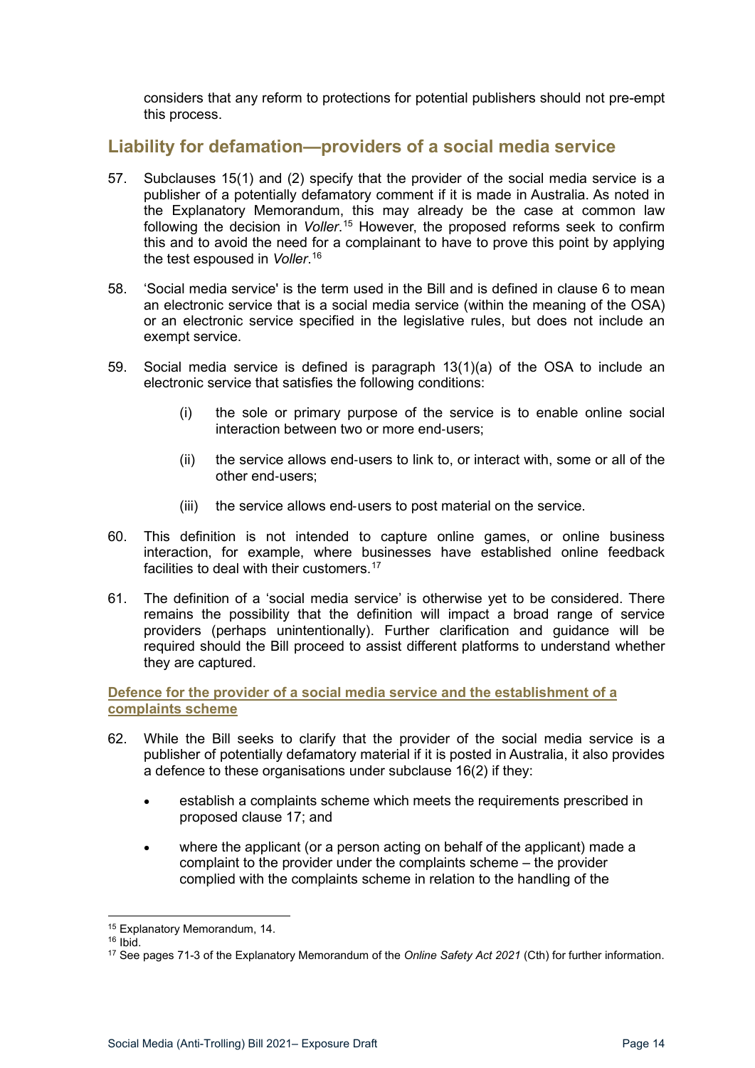considers that any reform to protections for potential publishers should not pre-empt this process.

# <span id="page-13-0"></span>**Liability for defamation—providers of a social media service**

- 57. Subclauses 15(1) and (2) specify that the provider of the social media service is a publisher of a potentially defamatory comment if it is made in Australia. As noted in the Explanatory Memorandum, this may already be the case at common law following the decision in *Voller*.<sup>[15](#page-13-2)</sup> However, the proposed reforms seek to confirm this and to avoid the need for a complainant to have to prove this point by applying the test espoused in *Voller*. [16](#page-13-3)
- 58. 'Social media service' is the term used in the Bill and is defined in clause 6 to mean an electronic service that is a social media service (within the meaning of the OSA) or an electronic service specified in the legislative rules, but does not include an exempt service.
- 59. Social media service is defined is paragraph 13(1)(a) of the OSA to include an electronic service that satisfies the following conditions:
	- (i) the sole or primary purpose of the service is to enable online social interaction between two or more end-users;
	- (ii) the service allows end-users to link to, or interact with, some or all of the other end-users;
	- (iii) the service allows end-users to post material on the service.
- 60. This definition is not intended to capture online games, or online business interaction, for example, where businesses have established online feedback facilities to deal with their customers.[17](#page-13-4)
- 61. The definition of a 'social media service' is otherwise yet to be considered. There remains the possibility that the definition will impact a broad range of service providers (perhaps unintentionally). Further clarification and guidance will be required should the Bill proceed to assist different platforms to understand whether they are captured.

<span id="page-13-1"></span>**Defence for the provider of a social media service and the establishment of a complaints scheme**

- 62. While the Bill seeks to clarify that the provider of the social media service is a publisher of potentially defamatory material if it is posted in Australia, it also provides a defence to these organisations under subclause 16(2) if they:
	- establish a complaints scheme which meets the requirements prescribed in proposed clause 17; and
	- where the applicant (or a person acting on behalf of the applicant) made a complaint to the provider under the complaints scheme – the provider complied with the complaints scheme in relation to the handling of the

<sup>15</sup> Explanatory Memorandum, 14.

<span id="page-13-3"></span><span id="page-13-2"></span> $16$  Ibid.

<span id="page-13-4"></span><sup>17</sup> See pages 71-3 of the Explanatory Memorandum of the *Online Safety Act 2021* (Cth) for further information.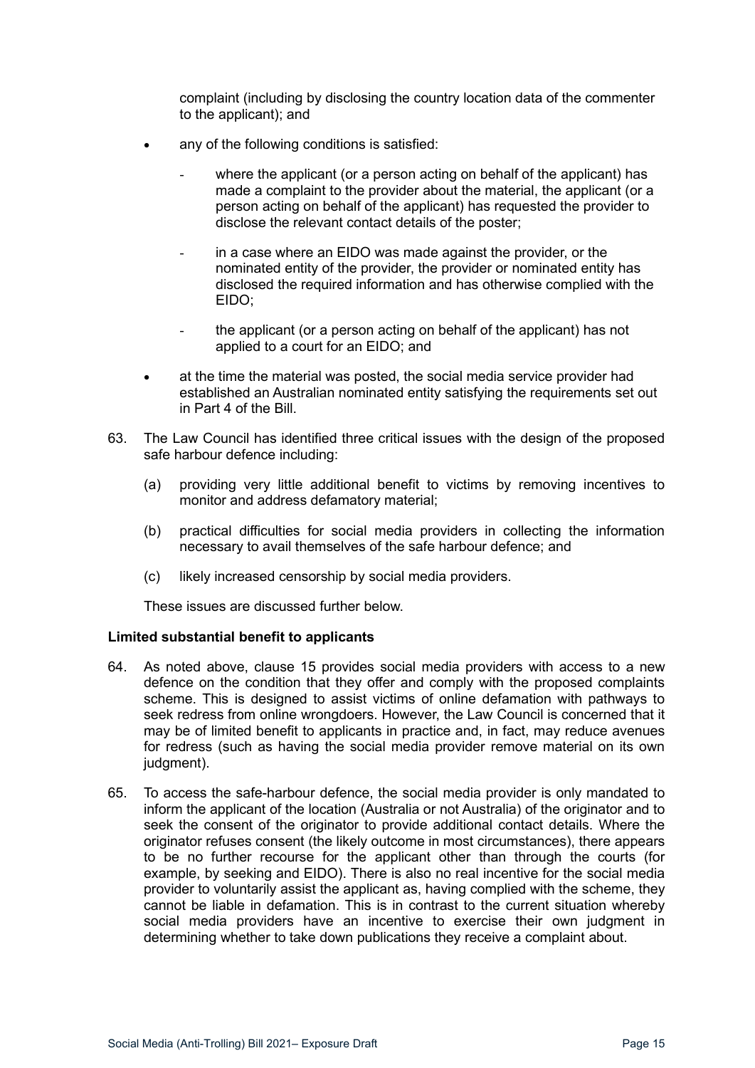complaint (including by disclosing the country location data of the commenter to the applicant); and

- any of the following conditions is satisfied:
	- where the applicant (or a person acting on behalf of the applicant) has made a complaint to the provider about the material, the applicant (or a person acting on behalf of the applicant) has requested the provider to disclose the relevant contact details of the poster;
	- in a case where an EIDO was made against the provider, or the nominated entity of the provider, the provider or nominated entity has disclosed the required information and has otherwise complied with the EIDO;
	- the applicant (or a person acting on behalf of the applicant) has not applied to a court for an EIDO; and
- at the time the material was posted, the social media service provider had established an Australian nominated entity satisfying the requirements set out in Part 4 of the Bill.
- 63. The Law Council has identified three critical issues with the design of the proposed safe harbour defence including:
	- (a) providing very little additional benefit to victims by removing incentives to monitor and address defamatory material;
	- (b) practical difficulties for social media providers in collecting the information necessary to avail themselves of the safe harbour defence; and
	- (c) likely increased censorship by social media providers.

These issues are discussed further below.

#### **Limited substantial benefit to applicants**

- 64. As noted above, clause 15 provides social media providers with access to a new defence on the condition that they offer and comply with the proposed complaints scheme. This is designed to assist victims of online defamation with pathways to seek redress from online wrongdoers. However, the Law Council is concerned that it may be of limited benefit to applicants in practice and, in fact, may reduce avenues for redress (such as having the social media provider remove material on its own judgment).
- 65. To access the safe-harbour defence, the social media provider is only mandated to inform the applicant of the location (Australia or not Australia) of the originator and to seek the consent of the originator to provide additional contact details. Where the originator refuses consent (the likely outcome in most circumstances), there appears to be no further recourse for the applicant other than through the courts (for example, by seeking and EIDO). There is also no real incentive for the social media provider to voluntarily assist the applicant as, having complied with the scheme, they cannot be liable in defamation. This is in contrast to the current situation whereby social media providers have an incentive to exercise their own judgment in determining whether to take down publications they receive a complaint about.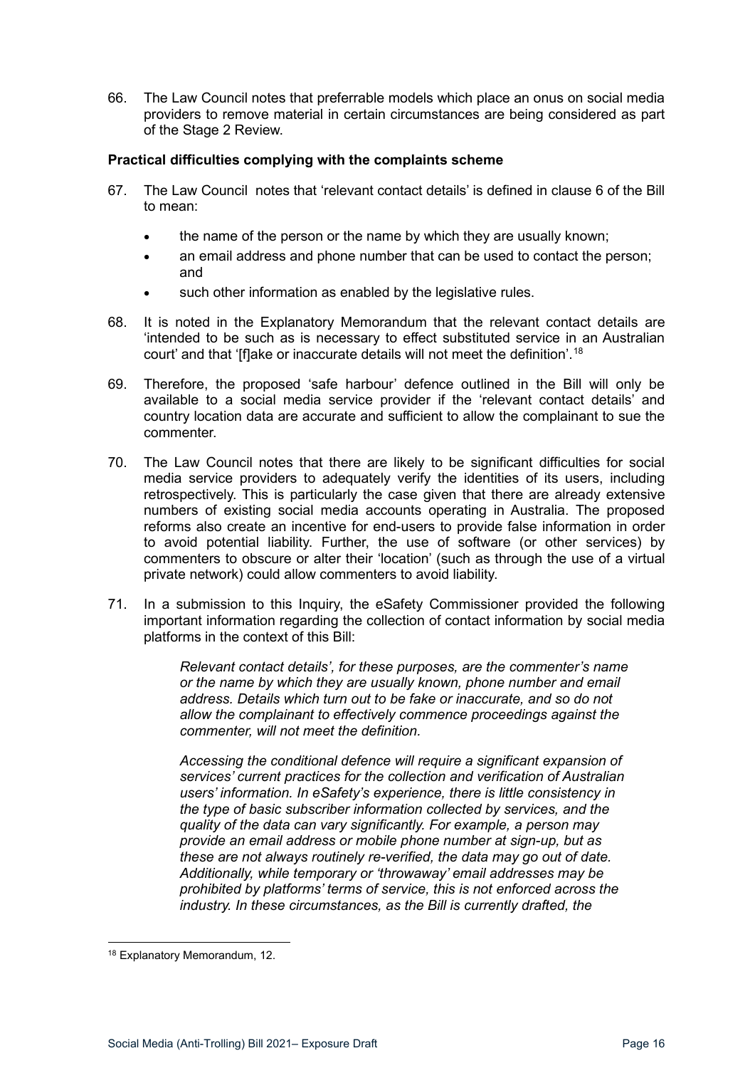66. The Law Council notes that preferrable models which place an onus on social media providers to remove material in certain circumstances are being considered as part of the Stage 2 Review.

#### <span id="page-15-0"></span>**Practical difficulties complying with the complaints scheme**

- 67. The Law Council notes that 'relevant contact details' is defined in clause 6 of the Bill to mean:
	- the name of the person or the name by which they are usually known;
	- an email address and phone number that can be used to contact the person; and
	- such other information as enabled by the legislative rules.
- 68. It is noted in the Explanatory Memorandum that the relevant contact details are 'intended to be such as is necessary to effect substituted service in an Australian court' and that '[f]ake or inaccurate details will not meet the definition'.<sup>[18](#page-15-1)</sup>
- 69. Therefore, the proposed 'safe harbour' defence outlined in the Bill will only be available to a social media service provider if the 'relevant contact details' and country location data are accurate and sufficient to allow the complainant to sue the commenter.
- 70. The Law Council notes that there are likely to be significant difficulties for social media service providers to adequately verify the identities of its users, including retrospectively. This is particularly the case given that there are already extensive numbers of existing social media accounts operating in Australia. The proposed reforms also create an incentive for end-users to provide false information in order to avoid potential liability. Further, the use of software (or other services) by commenters to obscure or alter their 'location' (such as through the use of a virtual private network) could allow commenters to avoid liability.
- 71. In a submission to this Inquiry, the eSafety Commissioner provided the following important information regarding the collection of contact information by social media platforms in the context of this Bill:

*Relevant contact details', for these purposes, are the commenter's name or the name by which they are usually known, phone number and email address. Details which turn out to be fake or inaccurate, and so do not allow the complainant to effectively commence proceedings against the commenter, will not meet the definition.* 

*Accessing the conditional defence will require a significant expansion of services' current practices for the collection and verification of Australian users' information. In eSafety's experience, there is little consistency in the type of basic subscriber information collected by services, and the quality of the data can vary significantly. For example, a person may provide an email address or mobile phone number at sign-up, but as these are not always routinely re-verified, the data may go out of date. Additionally, while temporary or 'throwaway' email addresses may be prohibited by platforms' terms of service, this is not enforced across the industry. In these circumstances, as the Bill is currently drafted, the* 

<span id="page-15-1"></span><sup>18</sup> Explanatory Memorandum, 12.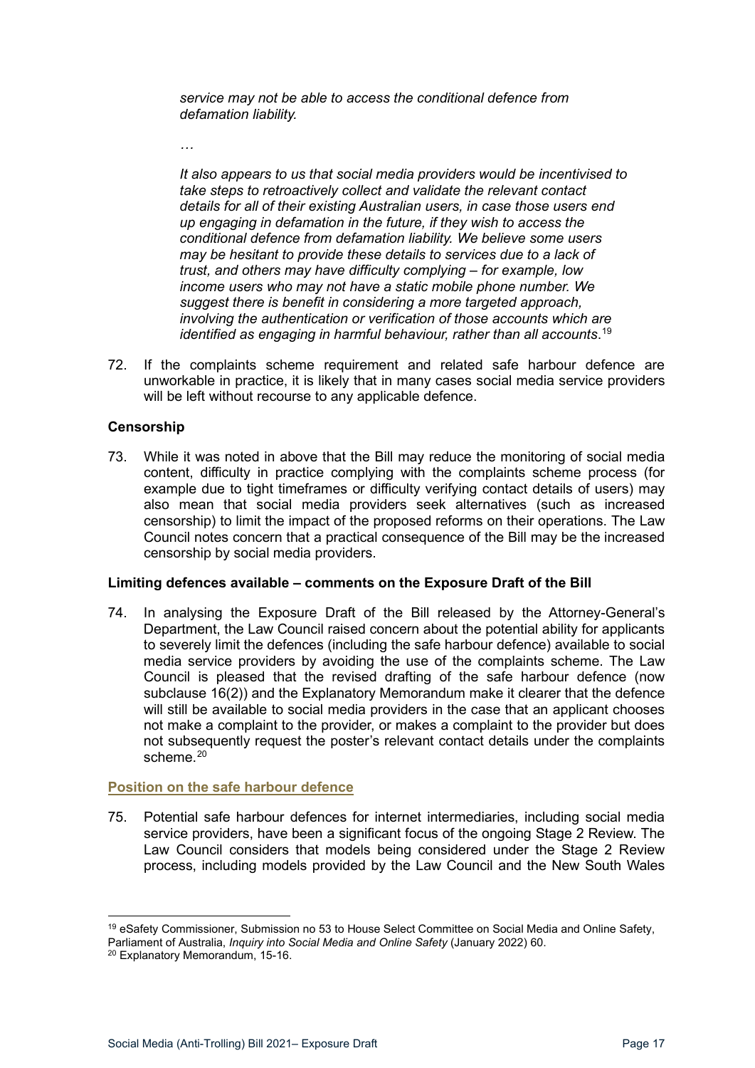*service may not be able to access the conditional defence from defamation liability.*

*…*

*It also appears to us that social media providers would be incentivised to take steps to retroactively collect and validate the relevant contact details for all of their existing Australian users, in case those users end up engaging in defamation in the future, if they wish to access the conditional defence from defamation liability. We believe some users may be hesitant to provide these details to services due to a lack of trust, and others may have difficulty complying – for example, low income users who may not have a static mobile phone number. We suggest there is benefit in considering a more targeted approach, involving the authentication or verification of those accounts which are identified as engaging in harmful behaviour, rather than all accounts*. [19](#page-16-3)

72. If the complaints scheme requirement and related safe harbour defence are unworkable in practice, it is likely that in many cases social media service providers will be left without recourse to any applicable defence.

#### <span id="page-16-0"></span>**Censorship**

73. While it was noted in above that the Bill may reduce the monitoring of social media content, difficulty in practice complying with the complaints scheme process (for example due to tight timeframes or difficulty verifying contact details of users) may also mean that social media providers seek alternatives (such as increased censorship) to limit the impact of the proposed reforms on their operations. The Law Council notes concern that a practical consequence of the Bill may be the increased censorship by social media providers.

#### <span id="page-16-1"></span>**Limiting defences available – comments on the Exposure Draft of the Bill**

74. In analysing the Exposure Draft of the Bill released by the Attorney-General's Department, the Law Council raised concern about the potential ability for applicants to severely limit the defences (including the safe harbour defence) available to social media service providers by avoiding the use of the complaints scheme. The Law Council is pleased that the revised drafting of the safe harbour defence (now subclause 16(2)) and the Explanatory Memorandum make it clearer that the defence will still be available to social media providers in the case that an applicant chooses not make a complaint to the provider, or makes a complaint to the provider but does not subsequently request the poster's relevant contact details under the complaints scheme. [20](#page-16-4)

#### <span id="page-16-2"></span>**Position on the safe harbour defence**

75. Potential safe harbour defences for internet intermediaries, including social media service providers, have been a significant focus of the ongoing Stage 2 Review. The Law Council considers that models being considered under the Stage 2 Review process, including models provided by the Law Council and the New South Wales

<span id="page-16-3"></span><sup>&</sup>lt;sup>19</sup> eSafety Commissioner, Submission no 53 to House Select Committee on Social Media and Online Safety, Parliament of Australia, *Inquiry into Social Media and Online Safety* (January 2022) 60.

<span id="page-16-4"></span><sup>20</sup> Explanatory Memorandum, 15-16.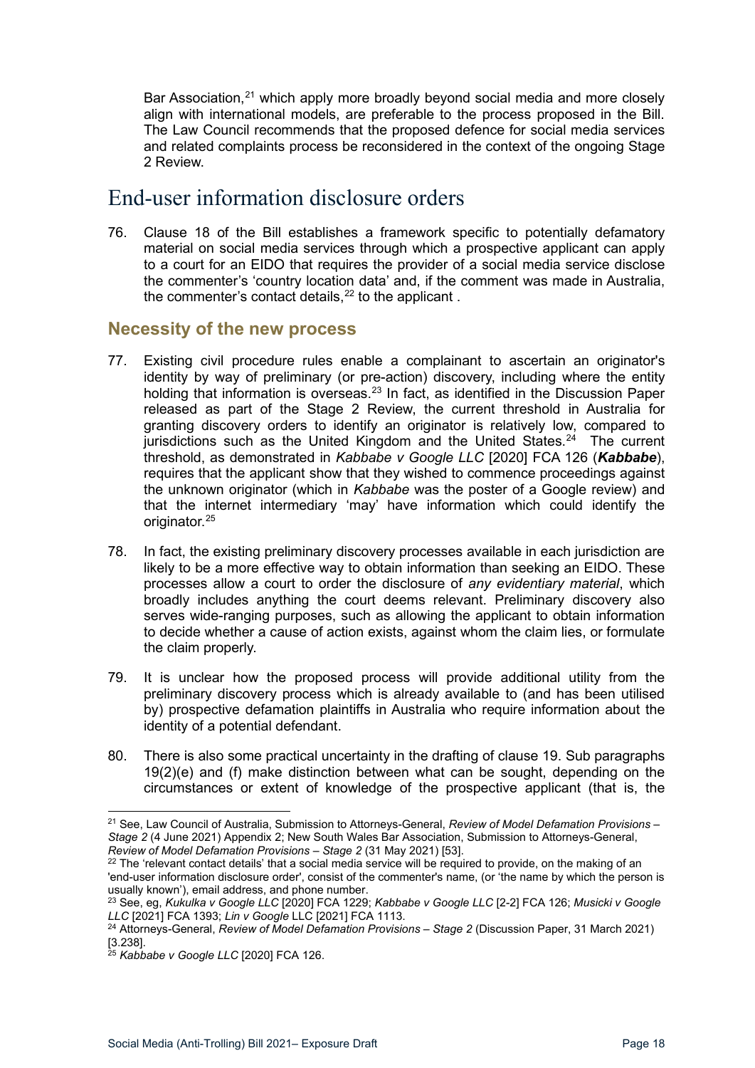Bar Association, $^{21}$  $^{21}$  $^{21}$  which apply more broadly beyond social media and more closely align with international models, are preferable to the process proposed in the Bill. The Law Council recommends that the proposed defence for social media services and related complaints process be reconsidered in the context of the ongoing Stage 2 Review.

# <span id="page-17-0"></span>End-user information disclosure orders

76. Clause 18 of the Bill establishes a framework specific to potentially defamatory material on social media services through which a prospective applicant can apply to a court for an EIDO that requires the provider of a social media service disclose the commenter's 'country location data' and, if the comment was made in Australia, the commenter's contact details,  $22$  to the applicant.

### <span id="page-17-1"></span>**Necessity of the new process**

- 77. Existing civil procedure rules enable a complainant to ascertain an originator's identity by way of preliminary (or pre-action) discovery, including where the entity holding that information is overseas.<sup>[23](#page-17-4)</sup> In fact, as identified in the Discussion Paper released as part of the Stage 2 Review, the current threshold in Australia for granting discovery orders to identify an originator is relatively low, compared to jurisdictions such as the United Kingdom and the United States.<sup>[24](#page-17-5)</sup> The current threshold, as demonstrated in *Kabbabe v Google LLC* [2020] FCA 126 (*Kabbabe*), requires that the applicant show that they wished to commence proceedings against the unknown originator (which in *Kabbabe* was the poster of a Google review) and that the internet intermediary 'may' have information which could identify the originator.<sup>[25](#page-17-6)</sup>
- 78. In fact, the existing preliminary discovery processes available in each jurisdiction are likely to be a more effective way to obtain information than seeking an EIDO. These processes allow a court to order the disclosure of *any evidentiary material*, which broadly includes anything the court deems relevant. Preliminary discovery also serves wide-ranging purposes, such as allowing the applicant to obtain information to decide whether a cause of action exists, against whom the claim lies, or formulate the claim properly.
- 79. It is unclear how the proposed process will provide additional utility from the preliminary discovery process which is already available to (and has been utilised by) prospective defamation plaintiffs in Australia who require information about the identity of a potential defendant.
- 80. There is also some practical uncertainty in the drafting of clause 19. Sub paragraphs 19(2)(e) and (f) make distinction between what can be sought, depending on the circumstances or extent of knowledge of the prospective applicant (that is, the

<span id="page-17-2"></span><sup>21</sup> See, Law Council of Australia, Submission to Attorneys-General, *Review of Model Defamation Provisions – Stage 2* (4 June 2021) Appendix 2; New South Wales Bar Association, Submission to Attorneys-General, *Review of Model Defamation Provisions – Stage 2* (31 May 2021) [53].

<span id="page-17-3"></span><sup>&</sup>lt;sup>22</sup> The 'relevant contact details' that a social media service will be required to provide, on the making of an 'end-user information disclosure order', consist of the commenter's name, (or 'the name by which the person is usually known'), email address, and phone number.

<span id="page-17-4"></span><sup>23</sup> See, eg, *Kukulka v Google LLC* [2020] FCA 1229; *Kabbabe v Google LLC* [2-2] FCA 126; *Musicki v Google LLC* [2021] FCA 1393; *Lin v Google* LLC [2021] FCA 1113.

<span id="page-17-5"></span><sup>24</sup> Attorneys-General, *Review of Model Defamation Provisions – Stage 2* (Discussion Paper, 31 March 2021) [3.238].

<span id="page-17-6"></span><sup>25</sup> *Kabbabe v Google LLC* [2020] FCA 126.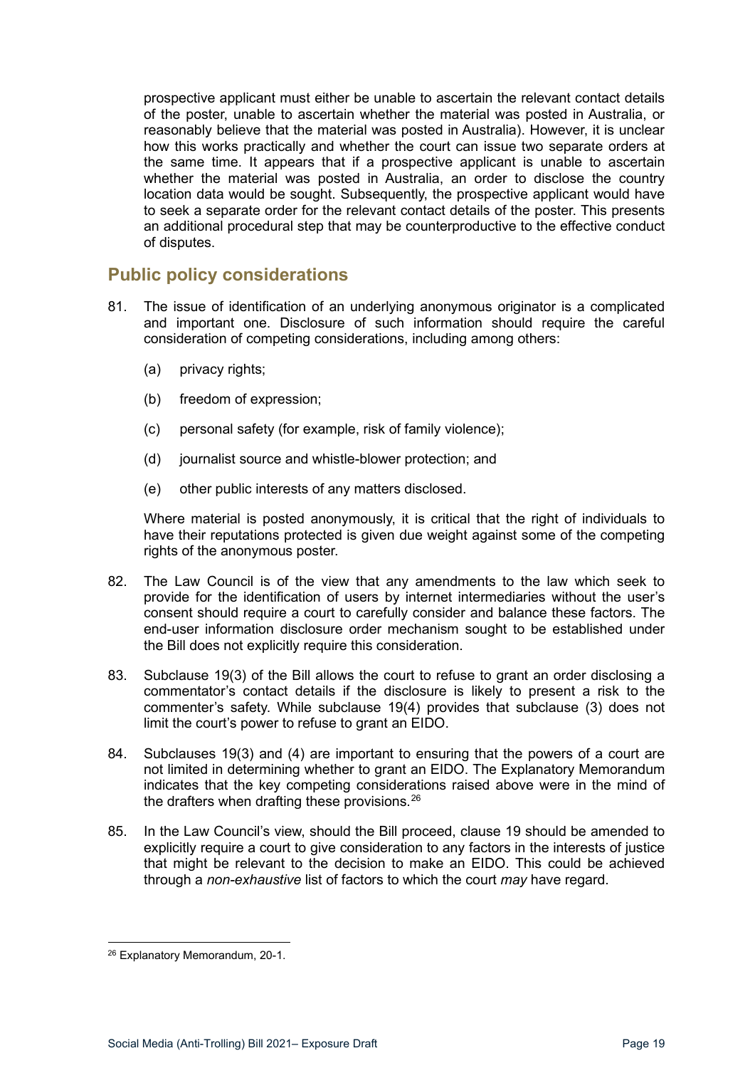prospective applicant must either be unable to ascertain the relevant contact details of the poster, unable to ascertain whether the material was posted in Australia, or reasonably believe that the material was posted in Australia). However, it is unclear how this works practically and whether the court can issue two separate orders at the same time. It appears that if a prospective applicant is unable to ascertain whether the material was posted in Australia, an order to disclose the country location data would be sought. Subsequently, the prospective applicant would have to seek a separate order for the relevant contact details of the poster. This presents an additional procedural step that may be counterproductive to the effective conduct of disputes.

# <span id="page-18-0"></span>**Public policy considerations**

- 81. The issue of identification of an underlying anonymous originator is a complicated and important one. Disclosure of such information should require the careful consideration of competing considerations, including among others:
	- (a) privacy rights;
	- (b) freedom of expression;
	- (c) personal safety (for example, risk of family violence);
	- (d) journalist source and whistle-blower protection; and
	- (e) other public interests of any matters disclosed.

Where material is posted anonymously, it is critical that the right of individuals to have their reputations protected is given due weight against some of the competing rights of the anonymous poster.

- 82. The Law Council is of the view that any amendments to the law which seek to provide for the identification of users by internet intermediaries without the user's consent should require a court to carefully consider and balance these factors. The end-user information disclosure order mechanism sought to be established under the Bill does not explicitly require this consideration.
- 83. Subclause 19(3) of the Bill allows the court to refuse to grant an order disclosing a commentator's contact details if the disclosure is likely to present a risk to the commenter's safety. While subclause 19(4) provides that subclause (3) does not limit the court's power to refuse to grant an EIDO.
- 84. Subclauses 19(3) and (4) are important to ensuring that the powers of a court are not limited in determining whether to grant an EIDO. The Explanatory Memorandum indicates that the key competing considerations raised above were in the mind of the drafters when drafting these provisions. $26$
- 85. In the Law Council's view, should the Bill proceed, clause 19 should be amended to explicitly require a court to give consideration to any factors in the interests of justice that might be relevant to the decision to make an EIDO. This could be achieved through a *non-exhaustive* list of factors to which the court *may* have regard.

<span id="page-18-1"></span><sup>26</sup> Explanatory Memorandum, 20-1.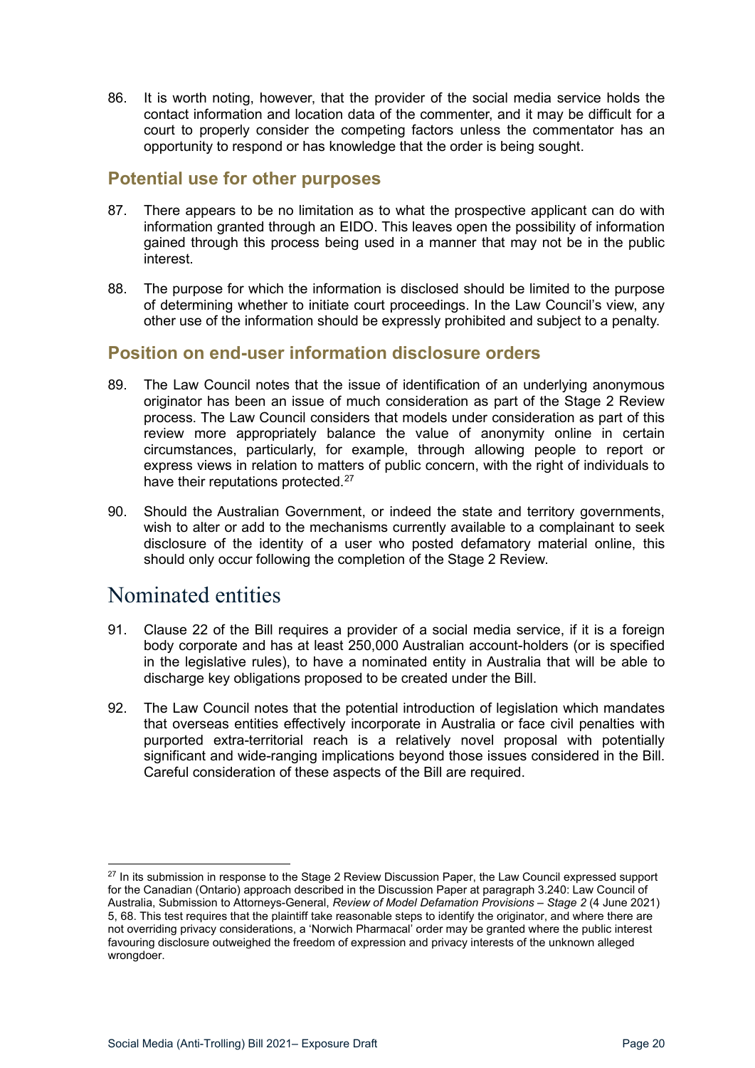86. It is worth noting, however, that the provider of the social media service holds the contact information and location data of the commenter, and it may be difficult for a court to properly consider the competing factors unless the commentator has an opportunity to respond or has knowledge that the order is being sought.

### <span id="page-19-0"></span>**Potential use for other purposes**

- 87. There appears to be no limitation as to what the prospective applicant can do with information granted through an EIDO. This leaves open the possibility of information gained through this process being used in a manner that may not be in the public interest.
- 88. The purpose for which the information is disclosed should be limited to the purpose of determining whether to initiate court proceedings. In the Law Council's view, any other use of the information should be expressly prohibited and subject to a penalty.

### <span id="page-19-1"></span>**Position on end-user information disclosure orders**

- 89. The Law Council notes that the issue of identification of an underlying anonymous originator has been an issue of much consideration as part of the Stage 2 Review process. The Law Council considers that models under consideration as part of this review more appropriately balance the value of anonymity online in certain circumstances, particularly, for example, through allowing people to report or express views in relation to matters of public concern, with the right of individuals to have their reputations protected.<sup>[27](#page-19-3)</sup>
- 90. Should the Australian Government, or indeed the state and territory governments, wish to alter or add to the mechanisms currently available to a complainant to seek disclosure of the identity of a user who posted defamatory material online, this should only occur following the completion of the Stage 2 Review.

# <span id="page-19-2"></span>Nominated entities

- 91. Clause 22 of the Bill requires a provider of a social media service, if it is a foreign body corporate and has at least 250,000 Australian account-holders (or is specified in the legislative rules), to have a nominated entity in Australia that will be able to discharge key obligations proposed to be created under the Bill.
- 92. The Law Council notes that the potential introduction of legislation which mandates that overseas entities effectively incorporate in Australia or face civil penalties with purported extra-territorial reach is a relatively novel proposal with potentially significant and wide-ranging implications beyond those issues considered in the Bill. Careful consideration of these aspects of the Bill are required.

<span id="page-19-3"></span><sup>&</sup>lt;sup>27</sup> In its submission in response to the Stage 2 Review Discussion Paper, the Law Council expressed support for the Canadian (Ontario) approach described in the Discussion Paper at paragraph 3.240: Law Council of Australia, Submission to Attorneys-General, *Review of Model Defamation Provisions – Stage 2* (4 June 2021) 5, 68. This test requires that the plaintiff take reasonable steps to identify the originator, and where there are not overriding privacy considerations, a 'Norwich Pharmacal' order may be granted where the public interest favouring disclosure outweighed the freedom of expression and privacy interests of the unknown alleged wrongdoer.